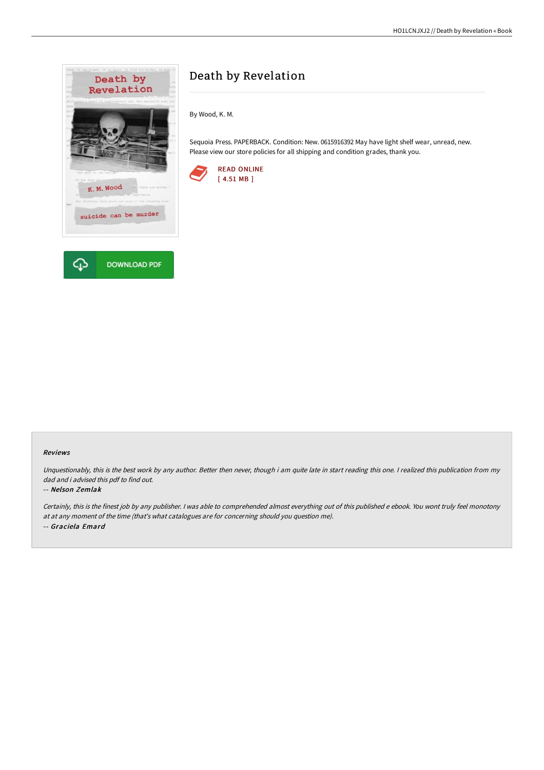

# Death by Revelation

By Wood, K. M.

Sequoia Press. PAPERBACK. Condition: New. 0615916392 May have light shelf wear, unread, new. Please view our store policies for all shipping and condition grades, thank you.



## Reviews

Unquestionably, this is the best work by any author. Better then never, though i am quite late in start reading this one. <sup>I</sup> realized this publication from my dad and i advised this pdf to find out.

### -- Nelson Zemlak

Certainly, this is the finest job by any publisher. <sup>I</sup> was able to comprehended almost everything out of this published <sup>e</sup> ebook. You wont truly feel monotony at at any moment of the time (that's what catalogues are for concerning should you question me). -- Graciela Emard